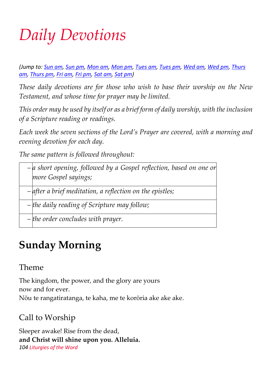# *Daily Devotions*

*(Jump to: [Sun am,](http://anglicanprayerbook.nz/104.html#suam) [Sun pm,](http://anglicanprayerbook.nz/104.html#supm) [Mon am,](http://anglicanprayerbook.nz/104.html#moam) [Mon pm,](http://anglicanprayerbook.nz/104.html#mopm) [Tues am,](http://anglicanprayerbook.nz/104.html#tuam) [Tues pm,](http://anglicanprayerbook.nz/104.html#tupm) [Wed am,](http://anglicanprayerbook.nz/104.html#weam) [Wed pm,](http://anglicanprayerbook.nz/104.html#wepm) [Thurs](http://anglicanprayerbook.nz/104.html#tham)  [am,](http://anglicanprayerbook.nz/104.html#tham) [Thurs pm,](http://anglicanprayerbook.nz/104.html#thpm) [Fri am,](http://anglicanprayerbook.nz/104.html#fram) [Fri pm,](http://anglicanprayerbook.nz/104.html#frpm) [Sat am,](http://anglicanprayerbook.nz/104.html#saam) [Sat pm\)](http://anglicanprayerbook.nz/104.html#sapm)*

*These daily devotions are for those who wish to base their worship on the New Testament, and whose time for prayer may be limited.*

*This order may be used by itself or as a brief form of daily worship, with the inclusion of a Scripture reading or readings.*

*Each week the seven sections of the Lord's Prayer are covered, with a morning and evening devotion for each day.*

*The same pattern is followed throughout:*

*– a short opening, followed by a Gospel reflection, based on one or more Gospel sayings;*

*– after a brief meditation, a reflection on the epistles;*

*– the daily reading of Scripture may follow;*

*– the order concludes with prayer.*

# **Sunday Morning**

#### Theme

The kingdom, the power, and the glory are yours now and for ever. Nōu te rangatiratanga, te kaha, me te korōria ake ake ake.

# Call to Worship

Sleeper awake! Rise from the dead, **and Christ will shine upon you. Alleluia.** *104 Liturgies of the Word*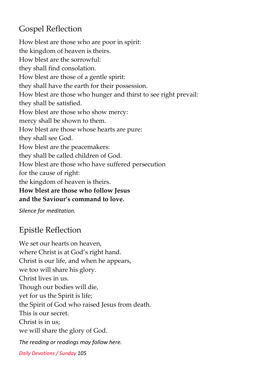#### Gospel Reflection

How blest are those who are poor in spirit: the kingdom of heaven is theirs. How blest are the sorrowful: they shall find consolation. How blest are those of a gentle spirit: they shall have the earth for their possession. How blest are those who hunger and thirst to see right prevail: they shall be satisfied. How blest are those who show mercy: mercy shall be shown to them. How blest are those whose hearts are pure: they shall see God. How blest are the peacemakers: they shall be called children of God. How blest are those who have suffered persecution for the cause of right: the kingdom of heaven is theirs. **How blest are those who follow Jesus and the Saviour's command to love.**

*Silence for meditation.*

#### Epistle Reflection

We set our hearts on heaven, where Christ is at God's right hand. Christ is our life, and when he appears, we too will share his glory. Christ lives in us. Though our bodies will die, yet for us the Spirit is life; the Spirit of God who raised Jesus from death. This is our secret. Christ is in us; we will share the glory of God. *The reading or readings may follow here.*

*Daily Devotions / Sunday 105*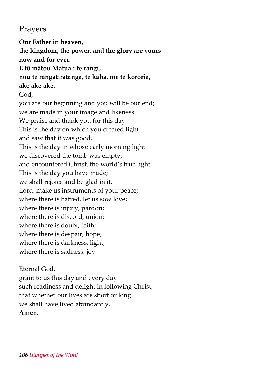#### Prayers

**Our Father in heaven, the kingdom, the power, and the glory are yours now and for ever. E tō mātou Matua i te rangi, nōu te rangatiratanga, te kaha, me te korōria, ake ake ake.** God, you are our beginning and you will be our end; we are made in your image and likeness. We praise and thank you for this day. This is the day on which you created light and saw that it was good. This is the day in whose early morning light we discovered the tomb was empty, and encountered Christ, the world's true light. This is the day you have made; we shall rejoice and be glad in it. Lord, make us instruments of your peace; where there is hatred, let us sow love; where there is injury, pardon; where there is discord, union; where there is doubt, faith; where there is despair, hope; where there is darkness, light; where there is sadness, joy.

Eternal God, grant to us this day and every day such readiness and delight in following Christ, that whether our lives are short or long we shall have lived abundantly. **Amen.**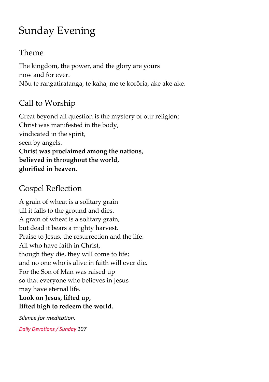# Sunday Evening

#### Theme

The kingdom, the power, and the glory are yours now and for ever. Nōu te rangatiratanga, te kaha, me te korōria, ake ake ake.

# Call to Worship

Great beyond all question is the mystery of our religion; Christ was manifested in the body, vindicated in the spirit, seen by angels. **Christ was proclaimed among the nations, believed in throughout the world, glorified in heaven.**

### Gospel Reflection

A grain of wheat is a solitary grain till it falls to the ground and dies. A grain of wheat is a solitary grain, but dead it bears a mighty harvest. Praise to Jesus, the resurrection and the life. All who have faith in Christ, though they die, they will come to life; and no one who is alive in faith will ever die. For the Son of Man was raised up so that everyone who believes in Jesus may have eternal life.

#### **Look on Jesus, lifted up, lifted high to redeem the world.**

*Silence for meditation.*

*Daily Devotions / Sunday 107*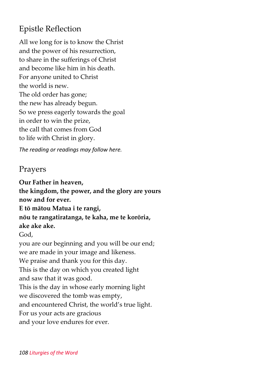#### Epistle Reflection

All we long for is to know the Christ and the power of his resurrection, to share in the sufferings of Christ and become like him in his death. For anyone united to Christ the world is new. The old order has gone; the new has already begun. So we press eagerly towards the goal in order to win the prize, the call that comes from God to life with Christ in glory.

*The reading or readings may follow here.*

#### Prayers

**Our Father in heaven, the kingdom, the power, and the glory are yours now and for ever. E tō mātou Matua i te rangi, nōu te rangatiratanga, te kaha, me te korōria, ake ake ake.** God, you are our beginning and you will be our end; we are made in your image and likeness. We praise and thank you for this day. This is the day on which you created light and saw that it was good. This is the day in whose early morning light we discovered the tomb was empty, and encountered Christ, the world's true light. For us your acts are gracious and your love endures for ever.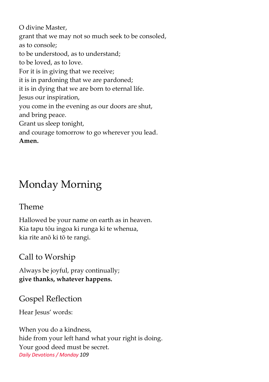O divine Master, grant that we may not so much seek to be consoled, as to console; to be understood, as to understand; to be loved, as to love. For it is in giving that we receive; it is in pardoning that we are pardoned; it is in dying that we are born to eternal life. Jesus our inspiration, you come in the evening as our doors are shut, and bring peace. Grant us sleep tonight, and courage tomorrow to go wherever you lead. **Amen.**

# Monday Morning

#### Theme

Hallowed be your name on earth as in heaven. Kia tapu tōu ingoa ki runga ki te whenua, kia rite anō ki tō te rangi.

#### Call to Worship

Always be joyful, pray continually; **give thanks, whatever happens.**

#### Gospel Reflection

Hear Jesus' words:

When you do a kindness, hide from your left hand what your right is doing. Your good deed must be secret. *Daily Devotions / Monday 109*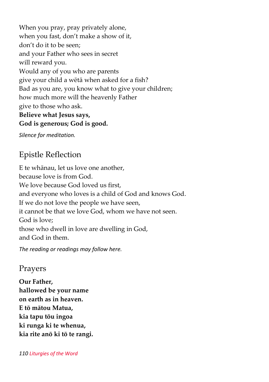When you pray, pray privately alone, when you fast, don't make a show of it, don't do it to be seen; and your Father who sees in secret will reward you. Would any of you who are parents give your child a wētā when asked for a fish? Bad as you are, you know what to give your children; how much more will the heavenly Father give to those who ask. **Believe what Jesus says, God is generous; God is good.**

*Silence for meditation.*

#### Epistle Reflection

E te whānau, let us love one another, because love is from God. We love because God loved us first, and everyone who loves is a child of God and knows God. If we do not love the people we have seen, it cannot be that we love God, whom we have not seen. God is love; those who dwell in love are dwelling in God, and God in them.

*The reading or readings may follow here.*

#### Prayers

**Our Father, hallowed be your name on earth as in heaven. E tō mātou Matua, kia tapu tōu ingoa ki runga ki te whenua, kia rite anō ki tō te rangi.**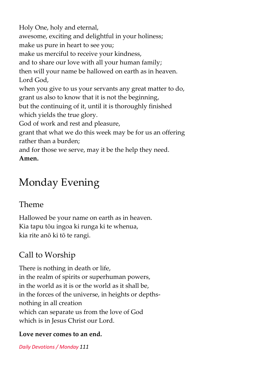Holy One, holy and eternal, awesome, exciting and delightful in your holiness; make us pure in heart to see you; make us merciful to receive your kindness, and to share our love with all your human family; then will your name be hallowed on earth as in heaven. Lord God, when you give to us your servants any great matter to do, grant us also to know that it is not the beginning, but the continuing of it, until it is thoroughly finished which yields the true glory. God of work and rest and pleasure, grant that what we do this week may be for us an offering rather than a burden; and for those we serve, may it be the help they need. **Amen.**

# Monday Evening

#### Theme

Hallowed be your name on earth as in heaven. Kia tapu tōu ingoa ki runga ki te whenua, kia rite anō ki tō te rangi.

# Call to Worship

There is nothing in death or life, in the realm of spirits or superhuman powers, in the world as it is or the world as it shall be, in the forces of the universe, in heights or depthsnothing in all creation which can separate us from the love of God which is in Jesus Christ our Lord.

#### **Love never comes to an end.**

*Daily Devotions / Monday 111*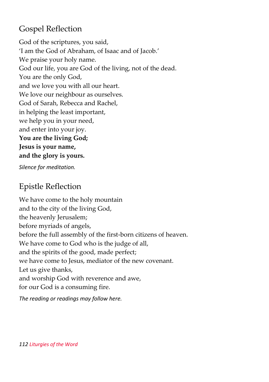#### Gospel Reflection

God of the scriptures, you said, 'I am the God of Abraham, of Isaac and of Jacob.' We praise your holy name. God our life, you are God of the living, not of the dead. You are the only God, and we love you with all our heart. We love our neighbour as ourselves. God of Sarah, Rebecca and Rachel, in helping the least important, we help you in your need, and enter into your joy. **You are the living God; Jesus is your name, and the glory is yours.**

*Silence for meditation.*

#### Epistle Reflection

We have come to the holy mountain and to the city of the living God, the heavenly Jerusalem; before myriads of angels, before the full assembly of the first-born citizens of heaven. We have come to God who is the judge of all, and the spirits of the good, made perfect; we have come to Jesus, mediator of the new covenant. Let us give thanks, and worship God with reverence and awe, for our God is a consuming fire.

*The reading or readings may follow here.*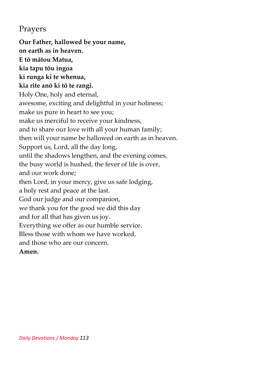#### Prayers

**Our Father, hallowed be your name, on earth as in heaven. E tō mātou Matua, kia tapu tōu ingoa ki runga ki te whenua, kia rite anō ki tō te rangi.** Holy One, holy and eternal, awesome, exciting and delightful in your holiness; make us pure in heart to see you; make us merciful to receive your kindness, and to share our love with all your human family; then will your name be hallowed on earth as in heaven. Support us, Lord, all the day long, until the shadows lengthen, and the evening comes, the busy world is hushed, the fever of life is over, and our work done; then Lord, in your mercy, give us safe lodging, a holy rest and peace at the last. God our judge and our companion, we thank you for the good we did this day and for all that has given us joy. Everything we offer as our humble service. Bless those with whom we have worked, and those who are our concern. **Amen.**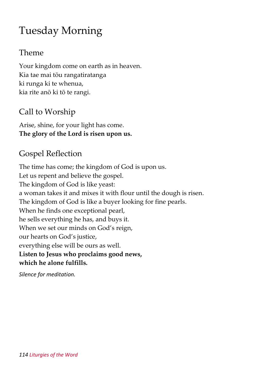# Tuesday Morning

#### Theme

Your kingdom come on earth as in heaven. Kia tae mai tōu rangatiratanga ki runga ki te whenua, kia rite anō ki tō te rangi.

#### Call to Worship

Arise, shine, for your light has come. **The glory of the Lord is risen upon us.**

#### Gospel Reflection

The time has come; the kingdom of God is upon us. Let us repent and believe the gospel. The kingdom of God is like yeast: a woman takes it and mixes it with flour until the dough is risen. The kingdom of God is like a buyer looking for fine pearls. When he finds one exceptional pearl, he sells everything he has, and buys it. When we set our minds on God's reign, our hearts on God's justice, everything else will be ours as well. **Listen to Jesus who proclaims good news, which he alone fulfills.**

*Silence for meditation.*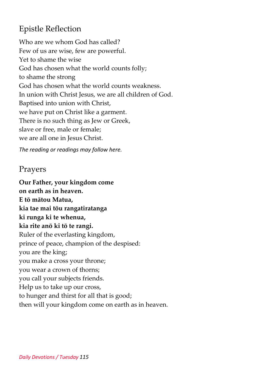#### Epistle Reflection

Who are we whom God has called? Few of us are wise, few are powerful. Yet to shame the wise God has chosen what the world counts folly; to shame the strong God has chosen what the world counts weakness. In union with Christ Jesus, we are all children of God. Baptised into union with Christ, we have put on Christ like a garment. There is no such thing as Jew or Greek, slave or free, male or female; we are all one in Jesus Christ.

*The reading or readings may follow here.*

#### Prayers

**Our Father, your kingdom come on earth as in heaven. E tō mātou Matua, kia tae mai tōu rangatiratanga ki runga ki te whenua, kia rite anō ki tō te rangi.** Ruler of the everlasting kingdom, prince of peace, champion of the despised: you are the king; you make a cross your throne; you wear a crown of thorns; you call your subjects friends. Help us to take up our cross, to hunger and thirst for all that is good; then will your kingdom come on earth as in heaven.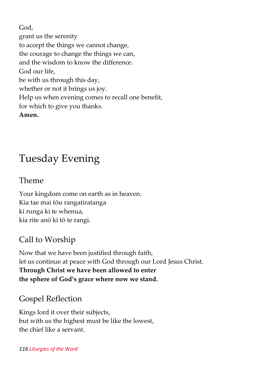God, grant us the serenity to accept the things we cannot change, the courage to change the things we can, and the wisdom to know the difference. God our life, be with us through this day, whether or not it brings us joy. Help us when evening comes to recall one benefit, for which to give you thanks. **Amen.**

# Tuesday Evening

#### Theme

Your kingdom come on earth as in heaven. Kia tae mai tōu rangatiratanga ki runga ki te whenua, kia rite anō ki tō te rangi.

#### Call to Worship

Now that we have been justified through faith, let us continue at peace with God through our Lord Jesus Christ. **Through Christ we have been allowed to enter the sphere of God's grace where now we stand.**

#### Gospel Reflection

Kings lord it over their subjects, but with us the highest must be like the lowest, the chief like a servant.

#### *116 Liturgies of the Word*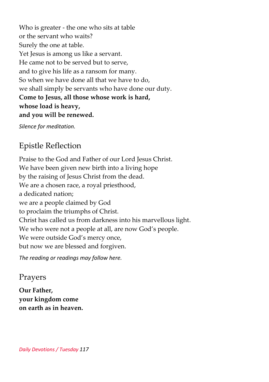Who is greater - the one who sits at table or the servant who waits? Surely the one at table. Yet Jesus is among us like a servant. He came not to be served but to serve, and to give his life as a ransom for many. So when we have done all that we have to do, we shall simply be servants who have done our duty. **Come to Jesus, all those whose work is hard, whose load is heavy, and you will be renewed.**

*Silence for meditation.*

#### Epistle Reflection

Praise to the God and Father of our Lord Jesus Christ. We have been given new birth into a living hope by the raising of Jesus Christ from the dead. We are a chosen race, a royal priesthood, a dedicated nation; we are a people claimed by God to proclaim the triumphs of Christ. Christ has called us from darkness into his marvellous light. We who were not a people at all, are now God's people. We were outside God's mercy once, but now we are blessed and forgiven.

*The reading or readings may follow here.*

#### Prayers

**Our Father, your kingdom come on earth as in heaven.**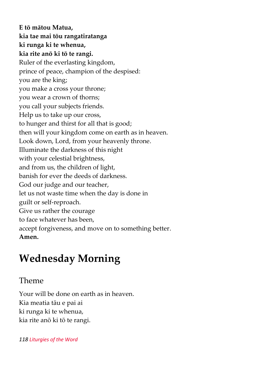**E tō mātou Matua, kia tae mai tōu rangatiratanga ki runga ki te whenua, kia rite anō ki tō te rangi.** Ruler of the everlasting kingdom, prince of peace, champion of the despised: you are the king; you make a cross your throne; you wear a crown of thorns; you call your subjects friends. Help us to take up our cross, to hunger and thirst for all that is good; then will your kingdom come on earth as in heaven. Look down, Lord, from your heavenly throne. Illuminate the darkness of this night with your celestial brightness, and from us, the children of light, banish for ever the deeds of darkness. God our judge and our teacher, let us not waste time when the day is done in guilt or self-reproach. Give us rather the courage to face whatever has been, accept forgiveness, and move on to something better. **Amen.**

# **Wednesday Morning**

#### Theme

Your will be done on earth as in heaven. Kia meatia tāu e pai ai ki runga ki te whenua, kia rite anō ki tō te rangi.

#### *118 Liturgies of the Word*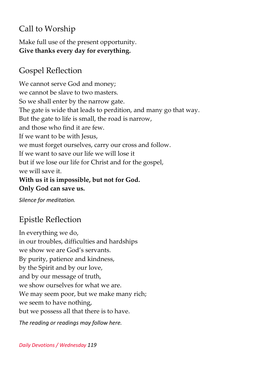# Call to Worship

Make full use of the present opportunity. **Give thanks every day for everything.**

### Gospel Reflection

We cannot serve God and money; we cannot be slave to two masters. So we shall enter by the narrow gate. The gate is wide that leads to perdition, and many go that way. But the gate to life is small, the road is narrow, and those who find it are few. If we want to be with Jesus, we must forget ourselves, carry our cross and follow. If we want to save our life we will lose it but if we lose our life for Christ and for the gospel, we will save it. **With us it is impossible, but not for God. Only God can save us.**

*Silence for meditation.*

#### Epistle Reflection

In everything we do, in our troubles, difficulties and hardships we show we are God's servants. By purity, patience and kindness, by the Spirit and by our love, and by our message of truth, we show ourselves for what we are. We may seem poor, but we make many rich; we seem to have nothing, but we possess all that there is to have.

*The reading or readings may follow here.*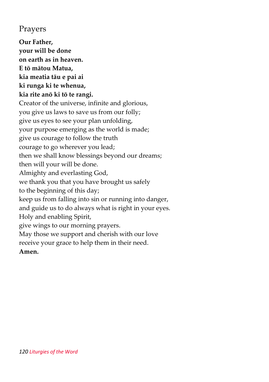#### Prayers

**Our Father, your will be done on earth as in heaven. E tō mātou Matua, kia meatia tāu e pai ai ki runga ki te whenua, kia rite anō ki tō te rangi.** Creator of the universe, infinite and glorious, you give us laws to save us from our folly; give us eyes to see your plan unfolding, your purpose emerging as the world is made; give us courage to follow the truth courage to go wherever you lead; then we shall know blessings beyond our dreams; then will your will be done. Almighty and everlasting God, we thank you that you have brought us safely to the beginning of this day; keep us from falling into sin or running into danger, and guide us to do always what is right in your eyes. Holy and enabling Spirit, give wings to our morning prayers. May those we support and cherish with our love receive your grace to help them in their need. **Amen.**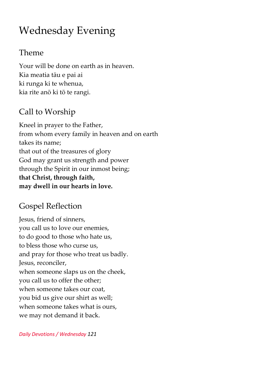# Wednesday Evening

#### Theme

Your will be done on earth as in heaven. Kia meatia tāu e pai ai ki runga ki te whenua, kia rite anō ki tō te rangi.

### Call to Worship

Kneel in prayer to the Father, from whom every family in heaven and on earth takes its name; that out of the treasures of glory God may grant us strength and power through the Spirit in our inmost being; **that Christ, through faith, may dwell in our hearts in love.**

#### Gospel Reflection

Jesus, friend of sinners, you call us to love our enemies, to do good to those who hate us, to bless those who curse us, and pray for those who treat us badly. Jesus, reconciler, when someone slaps us on the cheek, you call us to offer the other; when someone takes our coat, you bid us give our shirt as well; when someone takes what is ours, we may not demand it back.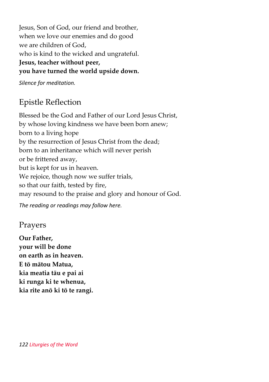Jesus, Son of God, our friend and brother, when we love our enemies and do good we are children of God, who is kind to the wicked and ungrateful.

#### **Jesus, teacher without peer, you have turned the world upside down.**

*Silence for meditation.*

### Epistle Reflection

Blessed be the God and Father of our Lord Jesus Christ, by whose loving kindness we have been born anew; born to a living hope by the resurrection of Jesus Christ from the dead; born to an inheritance which will never perish or be frittered away, but is kept for us in heaven. We rejoice, though now we suffer trials, so that our faith, tested by fire, may resound to the praise and glory and honour of God. *The reading or readings may follow here.*

#### Prayers

**Our Father, your will be done on earth as in heaven. E tō mātou Matua, kia meatia tāu e pai ai ki runga ki te whenua, kia rite anō ki tō te rangi.**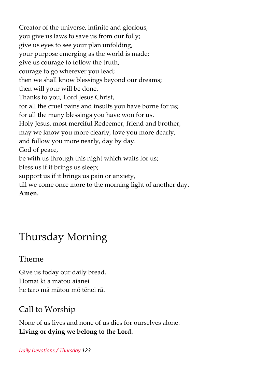Creator of the universe, infinite and glorious, you give us laws to save us from our folly; give us eyes to see your plan unfolding, your purpose emerging as the world is made; give us courage to follow the truth, courage to go wherever you lead; then we shall know blessings beyond our dreams; then will your will be done. Thanks to you, Lord Jesus Christ, for all the cruel pains and insults you have borne for us; for all the many blessings you have won for us. Holy Jesus, most merciful Redeemer, friend and brother, may we know you more clearly, love you more dearly, and follow you more nearly, day by day. God of peace, be with us through this night which waits for us; bless us if it brings us sleep; support us if it brings us pain or anxiety, till we come once more to the morning light of another day. **Amen.**

# Thursday Morning

#### Theme

Give us today our daily bread. Hōmai ki a mātou āianei he taro mā mātou mō tēnei rā.

# Call to Worship

None of us lives and none of us dies for ourselves alone. **Living or dying we belong to the Lord.**

#### *Daily Devotions / Thursday 123*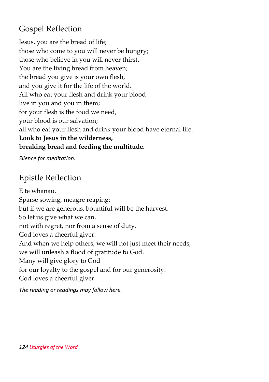#### Gospel Reflection

Jesus, you are the bread of life; those who come to you will never be hungry; those who believe in you will never thirst. You are the living bread from heaven; the bread you give is your own flesh, and you give it for the life of the world. All who eat your flesh and drink your blood live in you and you in them; for your flesh is the food we need, your blood is our salvation; all who eat your flesh and drink your blood have eternal life. **Look to Jesus in the wilderness, breaking bread and feeding the multitude.**

*Silence for meditation.*

# Epistle Reflection

E te whānau. Sparse sowing, meagre reaping; but if we are generous, bountiful will be the harvest. So let us give what we can, not with regret, nor from a sense of duty. God loves a cheerful giver. And when we help others, we will not just meet their needs, we will unleash a flood of gratitude to God. Many will give glory to God for our loyalty to the gospel and for our generosity. God loves a cheerful giver.

*The reading or readings may follow here.*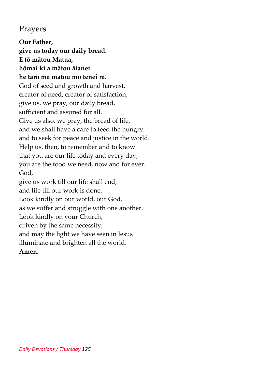#### Prayers

**Our Father, give us today our daily bread. E tō mātou Matua, hōmai ki a mātou āianei he taro mā mātou mō tēnei rā.** God of seed and growth and harvest, creator of need, creator of satisfaction; give us, we pray, our daily bread, sufficient and assured for all. Give us also, we pray, the bread of life, and we shall have a care to feed the hungry, and to seek for peace and justice in the world. Help us, then, to remember and to know that you are our life today and every day; you are the food we need, now and for ever. God, give us work till our life shall end, and life till our work is done. Look kindly on our world, our God, as we suffer and struggle with one another. Look kindly on your Church, driven by the same necessity; and may the light we have seen in Jesus illuminate and brighten all the world. **Amen.**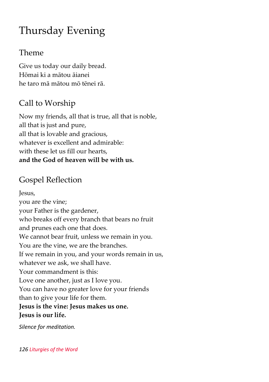# Thursday Evening

#### Theme

Give us today our daily bread. Hōmai ki a mātou āianei he taro mā mātou mō tēnei rā.

# Call to Worship

Now my friends, all that is true, all that is noble, all that is just and pure, all that is lovable and gracious, whatever is excellent and admirable: with these let us fill our hearts, **and the God of heaven will be with us.**

### Gospel Reflection

Jesus, you are the vine; your Father is the gardener, who breaks off every branch that bears no fruit and prunes each one that does. We cannot bear fruit, unless we remain in you. You are the vine, we are the branches. If we remain in you, and your words remain in us, whatever we ask, we shall have. Your commandment is this: Love one another, just as I love you. You can have no greater love for your friends than to give your life for them. **Jesus is the vine: Jesus makes us one. Jesus is our life.**

*Silence for meditation.*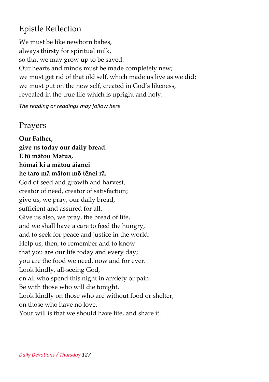#### Epistle Reflection

We must be like newborn babes, always thirsty for spiritual milk, so that we may grow up to be saved. Our hearts and minds must be made completely new; we must get rid of that old self, which made us live as we did; we must put on the new self, created in God's likeness, revealed in the true life which is upright and holy.

*The reading or readings may follow here.*

#### Prayers

**Our Father, give us today our daily bread. E tō mātou Matua, hōmai ki a mātou āianei he taro mā mātou mō tēnei rā.** God of seed and growth and harvest, creator of need, creator of satisfaction; give us, we pray, our daily bread, sufficient and assured for all. Give us also, we pray, the bread of life, and we shall have a care to feed the hungry, and to seek for peace and justice in the world. Help us, then, to remember and to know that you are our life today and every day; you are the food we need, now and for ever. Look kindly, all-seeing God, on all who spend this night in anxiety or pain. Be with those who will die tonight. Look kindly on those who are without food or shelter, on those who have no love. Your will is that we should have life, and share it.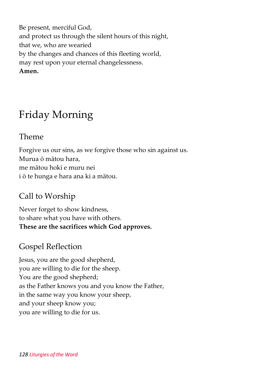Be present, merciful God, and protect us through the silent hours of this night, that we, who are wearied by the changes and chances of this fleeting world, may rest upon your eternal changelessness. **Amen.**

# Friday Morning

#### Theme

Forgive us our sins, as we forgive those who sin against us. Murua ō mātou hara, me mātou hoki e muru nei i ō te hunga e hara ana ki a mātou.

#### Call to Worship

Never forget to show kindness, to share what you have with others. **These are the sacrifices which God approves.**

#### Gospel Reflection

Jesus, you are the good shepherd, you are willing to die for the sheep. You are the good shepherd; as the Father knows you and you know the Father, in the same way you know your sheep, and your sheep know you; you are willing to die for us.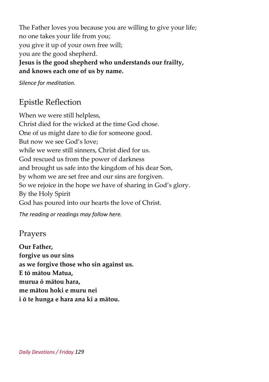The Father loves you because you are willing to give your life; no one takes your life from you; you give it up of your own free will; you are the good shepherd.

#### **Jesus is the good shepherd who understands our frailty, and knows each one of us by name.**

*Silence for meditation.*

### Epistle Reflection

When we were still helpless, Christ died for the wicked at the time God chose. One of us might dare to die for someone good. But now we see God's love; while we were still sinners, Christ died for us. God rescued us from the power of darkness and brought us safe into the kingdom of his dear Son, by whom we are set free and our sins are forgiven. So we rejoice in the hope we have of sharing in God's glory. By the Holy Spirit God has poured into our hearts the love of Christ.

*The reading or readings may follow here.*

#### Prayers

**Our Father, forgive us our sins as we forgive those who sin against us. E tō mātou Matua, murua ō mātou hara, me mātou hoki e muru nei i ō te hunga e hara ana ki a mātou.**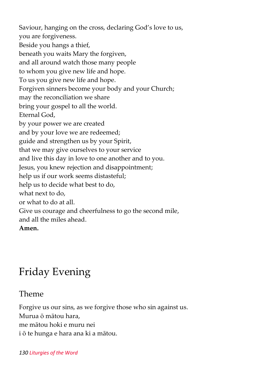Saviour, hanging on the cross, declaring God's love to us, you are forgiveness. Beside you hangs a thief, beneath you waits Mary the forgiven, and all around watch those many people to whom you give new life and hope. To us you give new life and hope. Forgiven sinners become your body and your Church; may the reconciliation we share bring your gospel to all the world. Eternal God, by your power we are created and by your love we are redeemed; guide and strengthen us by your Spirit, that we may give ourselves to your service and live this day in love to one another and to you. Jesus, you knew rejection and disappointment; help us if our work seems distasteful; help us to decide what best to do, what next to do, or what to do at all. Give us courage and cheerfulness to go the second mile, and all the miles ahead. **Amen.**

# Friday Evening

Theme

Forgive us our sins, as we forgive those who sin against us. Murua ō mātou hara, me mātou hoki e muru nei i ō te hunga e hara ana ki a mātou.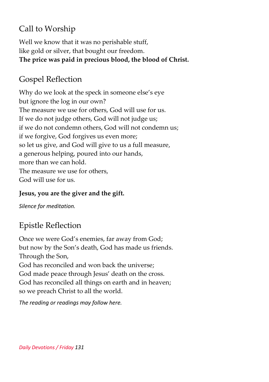# Call to Worship

Well we know that it was no perishable stuff, like gold or silver, that bought our freedom. **The price was paid in precious blood, the blood of Christ.**

# Gospel Reflection

Why do we look at the speck in someone else's eye but ignore the log in our own? The measure we use for others, God will use for us. If we do not judge others, God will not judge us; if we do not condemn others, God will not condemn us; if we forgive, God forgives us even more; so let us give, and God will give to us a full measure, a generous helping, poured into our hands, more than we can hold. The measure we use for others, God will use for us.

#### **Jesus, you are the giver and the gift.**

*Silence for meditation.*

# Epistle Reflection

Once we were God's enemies, far away from God; but now by the Son's death, God has made us friends. Through the Son, God has reconciled and won back the universe; God made peace through Jesus' death on the cross. God has reconciled all things on earth and in heaven; so we preach Christ to all the world.

*The reading or readings may follow here.*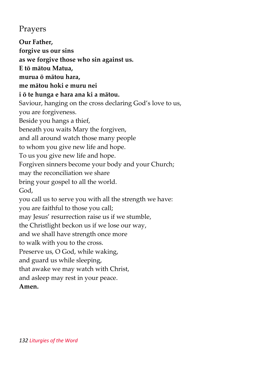#### Prayers

**Our Father, forgive us our sins as we forgive those who sin against us. E tō mātou Matua, murua ō mātou hara, me mātou hoki e muru nei i ō te hunga e hara ana ki a mātou.** Saviour, hanging on the cross declaring God's love to us, you are forgiveness. Beside you hangs a thief, beneath you waits Mary the forgiven, and all around watch those many people to whom you give new life and hope. To us you give new life and hope. Forgiven sinners become your body and your Church; may the reconciliation we share bring your gospel to all the world. God, you call us to serve you with all the strength we have: you are faithful to those you call; may Jesus' resurrection raise us if we stumble, the Christlight beckon us if we lose our way, and we shall have strength once more to walk with you to the cross. Preserve us, O God, while waking, and guard us while sleeping, that awake we may watch with Christ, and asleep may rest in your peace. **Amen.**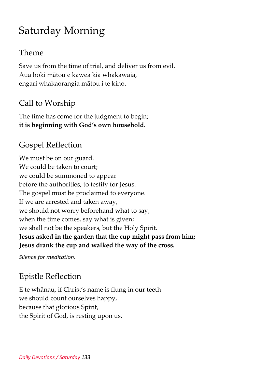# Saturday Morning

#### Theme

Save us from the time of trial, and deliver us from evil. Aua hoki mātou e kawea kia whakawaia, engari whakaorangia mātou i te kino.

### Call to Worship

The time has come for the judgment to begin; **it is beginning with God's own household.**

#### Gospel Reflection

We must be on our guard. We could be taken to court; we could be summoned to appear before the authorities, to testify for Jesus. The gospel must be proclaimed to everyone. If we are arrested and taken away, we should not worry beforehand what to say; when the time comes, say what is given; we shall not be the speakers, but the Holy Spirit. **Jesus asked in the garden that the cup might pass from him; Jesus drank the cup and walked the way of the cross.**

*Silence for meditation.*

# Epistle Reflection

E te whānau, if Christ's name is flung in our teeth we should count ourselves happy, because that glorious Spirit, the Spirit of God, is resting upon us.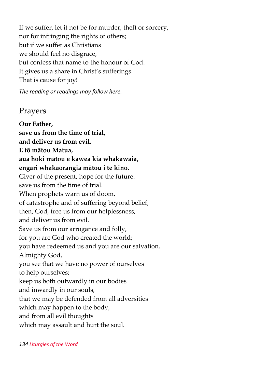If we suffer, let it not be for murder, theft or sorcery, nor for infringing the rights of others; but if we suffer as Christians we should feel no disgrace, but confess that name to the honour of God. It gives us a share in Christ's sufferings. That is cause for joy!

*The reading or readings may follow here.*

#### Prayers

**Our Father, save us from the time of trial, and deliver us from evil. E tō mātou Matua, aua hoki mātou e kawea kia whakawaia, engari whakaorangia mātou i te kino.** Giver of the present, hope for the future: save us from the time of trial. When prophets warn us of doom, of catastrophe and of suffering beyond belief, then, God, free us from our helplessness, and deliver us from evil. Save us from our arrogance and folly, for you are God who created the world; you have redeemed us and you are our salvation. Almighty God, you see that we have no power of ourselves to help ourselves; keep us both outwardly in our bodies and inwardly in our souls, that we may be defended from all adversities which may happen to the body, and from all evil thoughts which may assault and hurt the soul.

*134 Liturgies of the Word*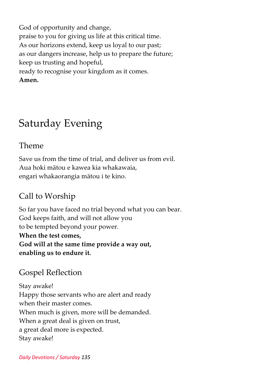God of opportunity and change, praise to you for giving us life at this critical time. As our horizons extend, keep us loyal to our past; as our dangers increase, help us to prepare the future; keep us trusting and hopeful, ready to recognise your kingdom as it comes. **Amen.**

# Saturday Evening

#### Theme

Save us from the time of trial, and deliver us from evil. Aua hoki mātou e kawea kia whakawaia, engari whakaorangia mātou i te kino.

# Call to Worship

So far you have faced no trial beyond what you can bear. God keeps faith, and will not allow you to be tempted beyond your power. **When the test comes, God will at the same time provide a way out, enabling us to endure it.**

# Gospel Reflection

Stay awake! Happy those servants who are alert and ready when their master comes. When much is given, more will be demanded. When a great deal is given on trust, a great deal more is expected. Stay awake!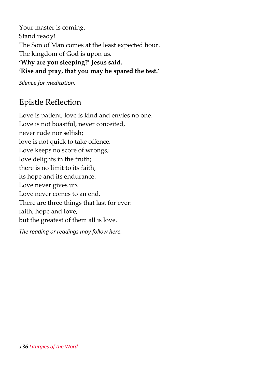Your master is coming. Stand ready! The Son of Man comes at the least expected hour. The kingdom of God is upon us. **'Why are you sleeping?' Jesus said. 'Rise and pray, that you may be spared the test.'**

*Silence for meditation.*

#### Epistle Reflection

Love is patient, love is kind and envies no one. Love is not boastful, never conceited, never rude nor selfish; love is not quick to take offence. Love keeps no score of wrongs; love delights in the truth; there is no limit to its faith, its hope and its endurance. Love never gives up. Love never comes to an end. There are three things that last for ever: faith, hope and love, but the greatest of them all is love.

*The reading or readings may follow here.*